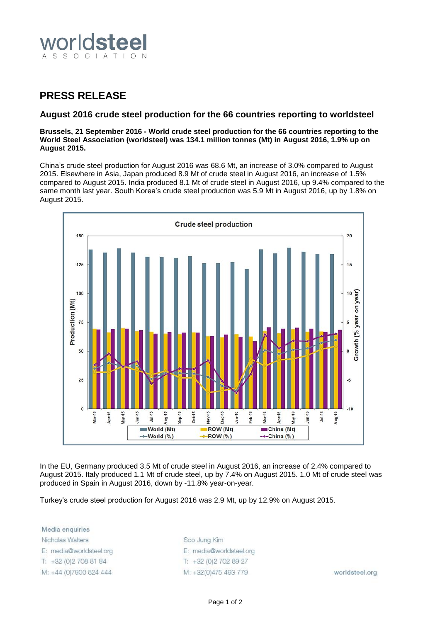

## **PRESS RELEASE**

## **August 2016 crude steel production for the 66 countries reporting to worldsteel**

**Brussels, 21 September 2016 - World crude steel production for the 66 countries reporting to the World Steel Association (worldsteel) was 134.1 million tonnes (Mt) in August 2016, 1.9% up on August 2015.**

China's crude steel production for August 2016 was 68.6 Mt, an increase of 3.0% compared to August 2015. Elsewhere in Asia, Japan produced 8.9 Mt of crude steel in August 2016, an increase of 1.5% compared to August 2015. India produced 8.1 Mt of crude steel in August 2016, up 9.4% compared to the same month last year. South Korea's crude steel production was 5.9 Mt in August 2016, up by 1.8% on August 2015.



In the EU, Germany produced 3.5 Mt of crude steel in August 2016, an increase of 2.4% compared to August 2015. Italy produced 1.1 Mt of crude steel, up by 7.4% on August 2015. 1.0 Mt of crude steel was produced in Spain in August 2016, down by -11.8% year-on-year.

Turkey's crude steel production for August 2016 was 2.9 Mt, up by 12.9% on August 2015.

Media enquiries Nicholas Walters E: media@worldsteel.org T: +32 (0) 2 708 81 84 M: +44 (0)7900 824 444

Soo Jung Kim E: media@worldsteel.org T: +32 (0) 2 70 2 89 27 M: +32(0)475 493 779

worldsteel.org